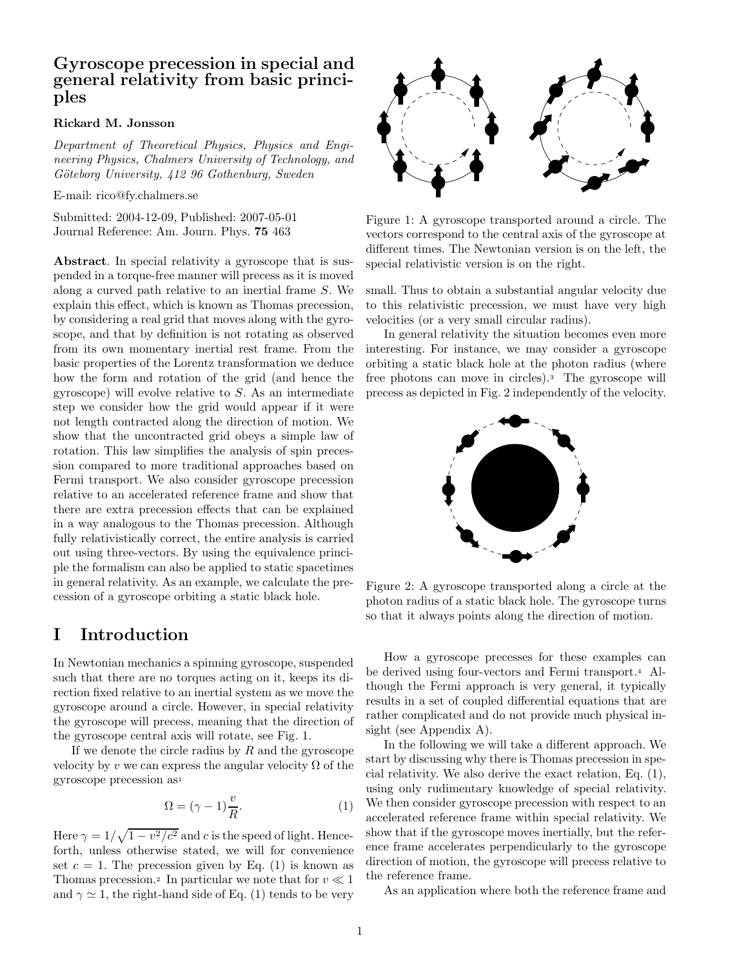# Gyroscope precession in special and general relativity from basic princi- ples

#### Rickard M. Jonsson

Department of Theoretical Physics, Physics and Engineering Physics, Chalmers University of Technology, and Göteborg University, 412 96 Gothenburg, Sweden

E-mail: rico@fy.chalmers.se

Submitted: 2004-12-09, Published: 2007-05-01 Journal Reference: Am. Journ. Phys. 75 463

Abstract. In special relativity a gyroscope that is suspended in a torque-free manner will precess as it is moved along a curved path relative to an inertial frame S. We explain this effect, which is known as Thomas precession, by considering a real grid that moves along with the gyroscope, and that by definition is not rotating as observed from its own momentary inertial rest frame. From the basic properties of the Lorentz transformation we deduce how the form and rotation of the grid (and hence the gyroscope) will evolve relative to S. As an intermediate step we consider how the grid would appear if it were not length contracted along the direction of motion. We show that the uncontracted grid obeys a simple law of rotation. This law simplifies the analysis of spin precession compared to more traditional approaches based on Fermi transport. We also consider gyroscope precession relative to an accelerated reference frame and show that there are extra precession effects that can be explained in a way analogous to the Thomas precession. Although fully relativistically correct, the entire analysis is carried out using three-vectors. By using the equivalence principle the formalism can also be applied to static spacetimes in general relativity. As an example, we calculate the precession of a gyroscope orbiting a static black hole.

# I Introduction

In Newtonian mechanics a spinning gyroscope, suspended such that there are no torques acting on it, keeps its direction fixed relative to an inertial system as we move the gyroscope around a circle. However, in special relativity the gyroscope will precess, meaning that the direction of the gyroscope central axis will rotate, see Fig. 1.

If we denote the circle radius by  $R$  and the gyroscope velocity by v we can express the angular velocity  $\Omega$  of the gyroscope precession as<sup>1</sup>

$$
\Omega = (\gamma - 1)\frac{v}{R}.\tag{1}
$$

Here  $\gamma = 1/\sqrt{1 - v^2/c^2}$  and c is the speed of light. Henceforth, unless otherwise stated, we will for convenience set  $c = 1$ . The precession given by Eq. (1) is known as Thomas precession.<sup>2</sup> In particular we note that for  $v \ll 1$ and  $\gamma \simeq 1$ , the right-hand side of Eq. (1) tends to be very



Figure 1: A gyroscope transported around a circle. The vectors correspond to the central axis of the gyroscope at different times. The Newtonian version is on the left, the special relativistic version is on the right.

small. Thus to obtain a substantial angular velocity due to this relativistic precession, we must have very high velocities (or a very small circular radius).

In general relativity the situation becomes even more interesting. For instance, we may consider a gyroscope orbiting a static black hole at the photon radius (where free photons can move in circles).<sup>3</sup> The gyroscope will precess as depicted in Fig. 2 independently of the velocity.



Figure 2: A gyroscope transported along a circle at the photon radius of a static black hole. The gyroscope turns so that it always points along the direction of motion.

How a gyroscope precesses for these examples can be derived using four-vectors and Fermi transport.<sup>4</sup> Although the Fermi approach is very general, it typically results in a set of coupled differential equations that are rather complicated and do not provide much physical insight (see Appendix A).

In the following we will take a different approach. We start by discussing why there is Thomas precession in special relativity. We also derive the exact relation, Eq. (1), using only rudimentary knowledge of special relativity. We then consider gyroscope precession with respect to an accelerated reference frame within special relativity. We show that if the gyroscope moves inertially, but the reference frame accelerates perpendicularly to the gyroscope direction of motion, the gyroscope will precess relative to the reference frame.

As an application where both the reference frame and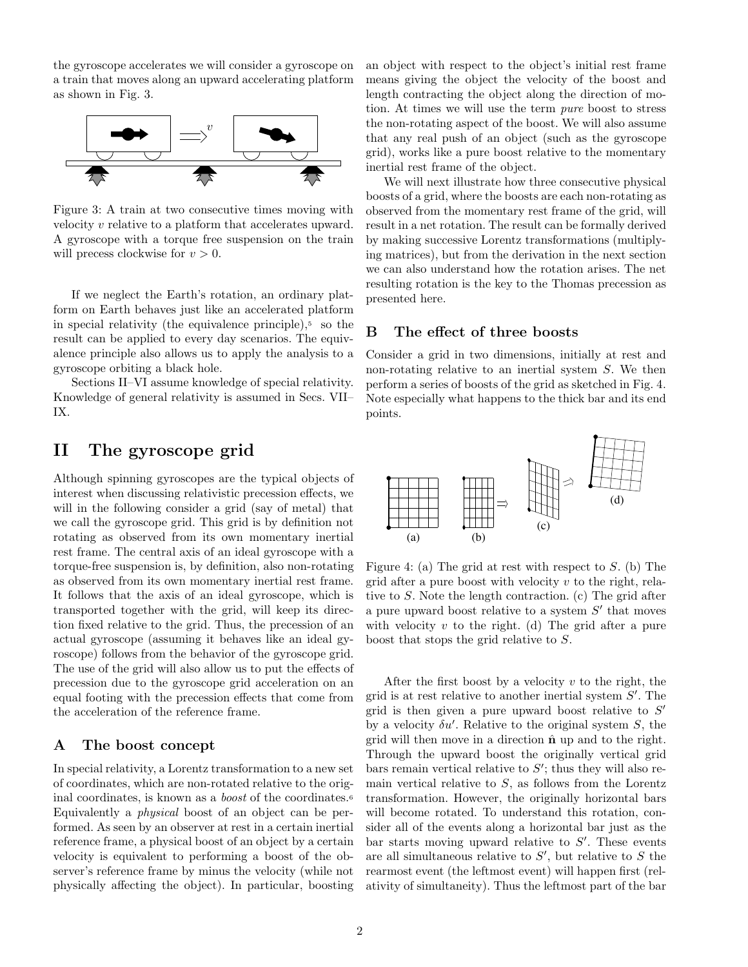the gyroscope accelerates we will consider a gyroscope on a train that moves along an upward accelerating platform as shown in Fig. 3.



Figure 3: A train at two consecutive times moving with velocity v relative to a platform that accelerates upward. A gyroscope with a torque free suspension on the train will precess clockwise for  $v > 0$ .

If we neglect the Earth's rotation, an ordinary platform on Earth behaves just like an accelerated platform in special relativity (the equivalence principle), $\frac{1}{2}$  so the result can be applied to every day scenarios. The equivalence principle also allows us to apply the analysis to a gyroscope orbiting a black hole.

Sections II–VI assume knowledge of special relativity. Knowledge of general relativity is assumed in Secs. VII– IX.

# II The gyroscope grid

Although spinning gyroscopes are the typical objects of interest when discussing relativistic precession effects, we will in the following consider a grid (say of metal) that we call the gyroscope grid. This grid is by definition not rotating as observed from its own momentary inertial rest frame. The central axis of an ideal gyroscope with a torque-free suspension is, by definition, also non-rotating as observed from its own momentary inertial rest frame. It follows that the axis of an ideal gyroscope, which is transported together with the grid, will keep its direction fixed relative to the grid. Thus, the precession of an actual gyroscope (assuming it behaves like an ideal gyroscope) follows from the behavior of the gyroscope grid. The use of the grid will also allow us to put the effects of precession due to the gyroscope grid acceleration on an equal footing with the precession effects that come from the acceleration of the reference frame.

#### A The boost concept

In special relativity, a Lorentz transformation to a new set of coordinates, which are non-rotated relative to the original coordinates, is known as a boost of the coordinates.<sup>6</sup> Equivalently a physical boost of an object can be performed. As seen by an observer at rest in a certain inertial reference frame, a physical boost of an object by a certain velocity is equivalent to performing a boost of the observer's reference frame by minus the velocity (while not physically affecting the object). In particular, boosting an object with respect to the object's initial rest frame means giving the object the velocity of the boost and length contracting the object along the direction of motion. At times we will use the term pure boost to stress the non-rotating aspect of the boost. We will also assume that any real push of an object (such as the gyroscope grid), works like a pure boost relative to the momentary inertial rest frame of the object.

We will next illustrate how three consecutive physical boosts of a grid, where the boosts are each non-rotating as observed from the momentary rest frame of the grid, will result in a net rotation. The result can be formally derived by making successive Lorentz transformations (multiplying matrices), but from the derivation in the next section we can also understand how the rotation arises. The net resulting rotation is the key to the Thomas precession as presented here.

#### B The effect of three boosts

Consider a grid in two dimensions, initially at rest and non-rotating relative to an inertial system S. We then perform a series of boosts of the grid as sketched in Fig. 4. Note especially what happens to the thick bar and its end points.



Figure 4: (a) The grid at rest with respect to  $S$ . (b) The grid after a pure boost with velocity  $v$  to the right, relative to S. Note the length contraction. (c) The grid after a pure upward boost relative to a system  $S'$  that moves with velocity  $v$  to the right. (d) The grid after a pure boost that stops the grid relative to S.

After the first boost by a velocity  $v$  to the right, the grid is at rest relative to another inertial system  $S'$ . The grid is then given a pure upward boost relative to  $S'$ by a velocity  $\delta u'$ . Relative to the original system S, the grid will then move in a direction  $\hat{\mathbf{n}}$  up and to the right. Through the upward boost the originally vertical grid bars remain vertical relative to  $S'$ ; thus they will also remain vertical relative to S, as follows from the Lorentz transformation. However, the originally horizontal bars will become rotated. To understand this rotation, consider all of the events along a horizontal bar just as the bar starts moving upward relative to  $S'$ . These events are all simultaneous relative to  $S'$ , but relative to  $S$  the rearmost event (the leftmost event) will happen first (relativity of simultaneity). Thus the leftmost part of the bar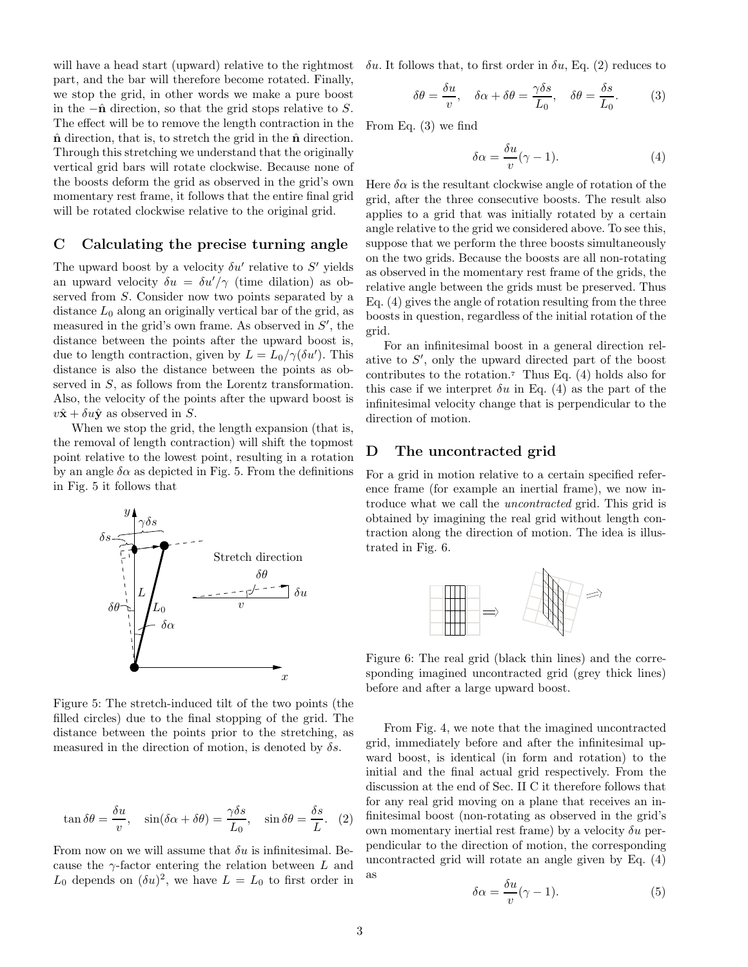will have a head start (upward) relative to the rightmost part, and the bar will therefore become rotated. Finally, we stop the grid, in other words we make a pure boost in the  $-\hat{\mathbf{n}}$  direction, so that the grid stops relative to S. The effect will be to remove the length contraction in the  $\hat{\mathbf{n}}$  direction, that is, to stretch the grid in the  $\hat{\mathbf{n}}$  direction. Through this stretching we understand that the originally vertical grid bars will rotate clockwise. Because none of the boosts deform the grid as observed in the grid's own momentary rest frame, it follows that the entire final grid will be rotated clockwise relative to the original grid.

#### C Calculating the precise turning angle

The upward boost by a velocity  $\delta u'$  relative to S' yields an upward velocity  $\delta u = \delta u'/\gamma$  (time dilation) as observed from S. Consider now two points separated by a distance  $L_0$  along an originally vertical bar of the grid, as measured in the grid's own frame. As observed in  $S'$ , the distance between the points after the upward boost is, due to length contraction, given by  $L = L_0/\gamma(\delta u')$ . This distance is also the distance between the points as observed in  $S$ , as follows from the Lorentz transformation. Also, the velocity of the points after the upward boost is  $v\hat{\mathbf{x}} + \delta u\hat{\mathbf{y}}$  as observed in S.

When we stop the grid, the length expansion (that is, the removal of length contraction) will shift the topmost point relative to the lowest point, resulting in a rotation by an angle  $\delta \alpha$  as depicted in Fig. 5. From the definitions in Fig. 5 it follows that



Figure 5: The stretch-induced tilt of the two points (the filled circles) due to the final stopping of the grid. The distance between the points prior to the stretching, as measured in the direction of motion, is denoted by  $\delta s$ .

$$
\tan \delta \theta = \frac{\delta u}{v}, \quad \sin(\delta \alpha + \delta \theta) = \frac{\gamma \delta s}{L_0}, \quad \sin \delta \theta = \frac{\delta s}{L}.
$$
 (2)

From now on we will assume that  $\delta u$  is infinitesimal. Because the  $\gamma$ -factor entering the relation between L and  $L_0$  depends on  $(\delta u)^2$ , we have  $L = L_0$  to first order in  $\delta u$ . It follows that, to first order in  $\delta u$ , Eq. (2) reduces to

$$
\delta\theta = \frac{\delta u}{v}, \quad \delta\alpha + \delta\theta = \frac{\gamma \delta s}{L_0}, \quad \delta\theta = \frac{\delta s}{L_0}.
$$
 (3)

From Eq. (3) we find

$$
\delta \alpha = \frac{\delta u}{v} (\gamma - 1). \tag{4}
$$

Here  $\delta \alpha$  is the resultant clockwise angle of rotation of the grid, after the three consecutive boosts. The result also applies to a grid that was initially rotated by a certain angle relative to the grid we considered above. To see this, suppose that we perform the three boosts simultaneously on the two grids. Because the boosts are all non-rotating as observed in the momentary rest frame of the grids, the relative angle between the grids must be preserved. Thus Eq. (4) gives the angle of rotation resulting from the three boosts in question, regardless of the initial rotation of the grid.

For an infinitesimal boost in a general direction relative to  $S'$ , only the upward directed part of the boost contributes to the rotation.<sup>7</sup> Thus Eq. (4) holds also for this case if we interpret  $\delta u$  in Eq. (4) as the part of the infinitesimal velocity change that is perpendicular to the direction of motion.

#### D The uncontracted grid

For a grid in motion relative to a certain specified reference frame (for example an inertial frame), we now introduce what we call the *uncontracted* grid. This grid is obtained by imagining the real grid without length contraction along the direction of motion. The idea is illustrated in Fig. 6.



Figure 6: The real grid (black thin lines) and the corresponding imagined uncontracted grid (grey thick lines) before and after a large upward boost.

From Fig. 4, we note that the imagined uncontracted grid, immediately before and after the infinitesimal upward boost, is identical (in form and rotation) to the initial and the final actual grid respectively. From the discussion at the end of Sec. II C it therefore follows that for any real grid moving on a plane that receives an infinitesimal boost (non-rotating as observed in the grid's own momentary inertial rest frame) by a velocity  $\delta u$  perpendicular to the direction of motion, the corresponding uncontracted grid will rotate an angle given by Eq. (4) as

$$
\delta \alpha = \frac{\delta u}{v} (\gamma - 1). \tag{5}
$$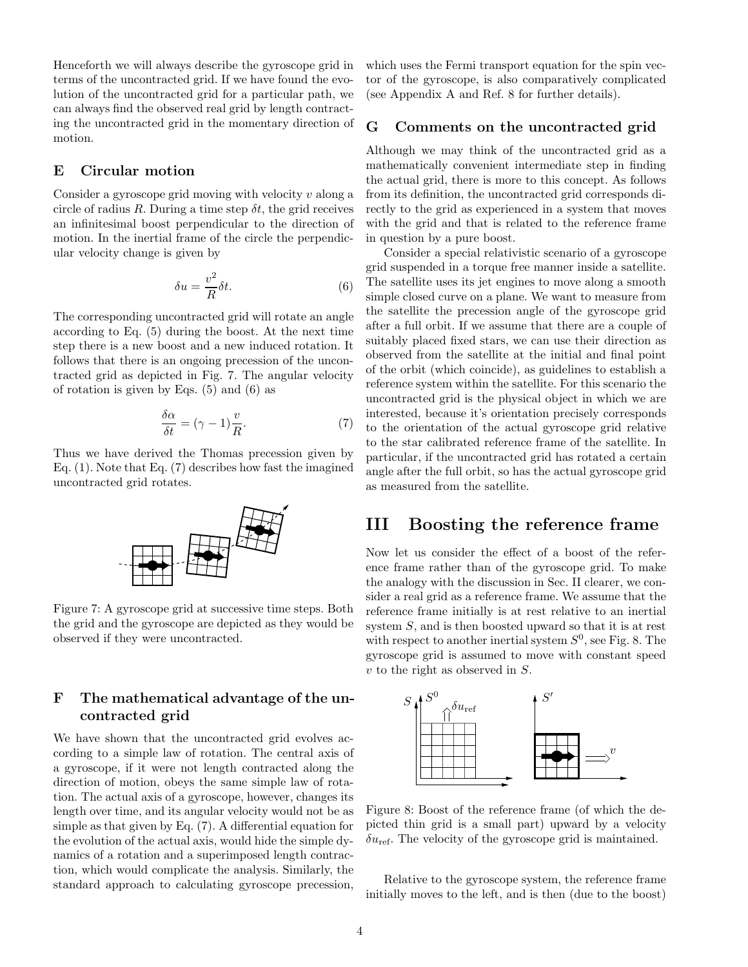Henceforth we will always describe the gyroscope grid in terms of the uncontracted grid. If we have found the evolution of the uncontracted grid for a particular path, we can always find the observed real grid by length contracting the uncontracted grid in the momentary direction of motion.

#### E Circular motion

Consider a gyroscope grid moving with velocity  $v$  along a circle of radius R. During a time step  $\delta t$ , the grid receives an infinitesimal boost perpendicular to the direction of motion. In the inertial frame of the circle the perpendicular velocity change is given by

$$
\delta u = \frac{v^2}{R} \delta t. \tag{6}
$$

The corresponding uncontracted grid will rotate an angle according to Eq. (5) during the boost. At the next time step there is a new boost and a new induced rotation. It follows that there is an ongoing precession of the uncontracted grid as depicted in Fig. 7. The angular velocity of rotation is given by Eqs. (5) and (6) as

$$
\frac{\delta \alpha}{\delta t} = (\gamma - 1)\frac{v}{R}.\tag{7}
$$

Thus we have derived the Thomas precession given by Eq. (1). Note that Eq. (7) describes how fast the imagined uncontracted grid rotates.



Figure 7: A gyroscope grid at successive time steps. Both the grid and the gyroscope are depicted as they would be observed if they were uncontracted.

## F The mathematical advantage of the uncontracted grid

We have shown that the uncontracted grid evolves according to a simple law of rotation. The central axis of a gyroscope, if it were not length contracted along the direction of motion, obeys the same simple law of rotation. The actual axis of a gyroscope, however, changes its length over time, and its angular velocity would not be as simple as that given by Eq. (7). A differential equation for the evolution of the actual axis, would hide the simple dynamics of a rotation and a superimposed length contraction, which would complicate the analysis. Similarly, the standard approach to calculating gyroscope precession,

which uses the Fermi transport equation for the spin vector of the gyroscope, is also comparatively complicated (see Appendix A and Ref. 8 for further details).

#### G Comments on the uncontracted grid

Although we may think of the uncontracted grid as a mathematically convenient intermediate step in finding the actual grid, there is more to this concept. As follows from its definition, the uncontracted grid corresponds directly to the grid as experienced in a system that moves with the grid and that is related to the reference frame in question by a pure boost.

Consider a special relativistic scenario of a gyroscope grid suspended in a torque free manner inside a satellite. The satellite uses its jet engines to move along a smooth simple closed curve on a plane. We want to measure from the satellite the precession angle of the gyroscope grid after a full orbit. If we assume that there are a couple of suitably placed fixed stars, we can use their direction as observed from the satellite at the initial and final point of the orbit (which coincide), as guidelines to establish a reference system within the satellite. For this scenario the uncontracted grid is the physical object in which we are interested, because it's orientation precisely corresponds to the orientation of the actual gyroscope grid relative to the star calibrated reference frame of the satellite. In particular, if the uncontracted grid has rotated a certain angle after the full orbit, so has the actual gyroscope grid as measured from the satellite.

# III Boosting the reference frame

Now let us consider the effect of a boost of the reference frame rather than of the gyroscope grid. To make the analogy with the discussion in Sec. II clearer, we consider a real grid as a reference frame. We assume that the reference frame initially is at rest relative to an inertial system  $S$ , and is then boosted upward so that it is at rest with respect to another inertial system  $S^0$ , see Fig. 8. The gyroscope grid is assumed to move with constant speed  $v$  to the right as observed in  $S$ .



Figure 8: Boost of the reference frame (of which the depicted thin grid is a small part) upward by a velocity  $\delta u_{\text{ref}}$ . The velocity of the gyroscope grid is maintained.

Relative to the gyroscope system, the reference frame initially moves to the left, and is then (due to the boost)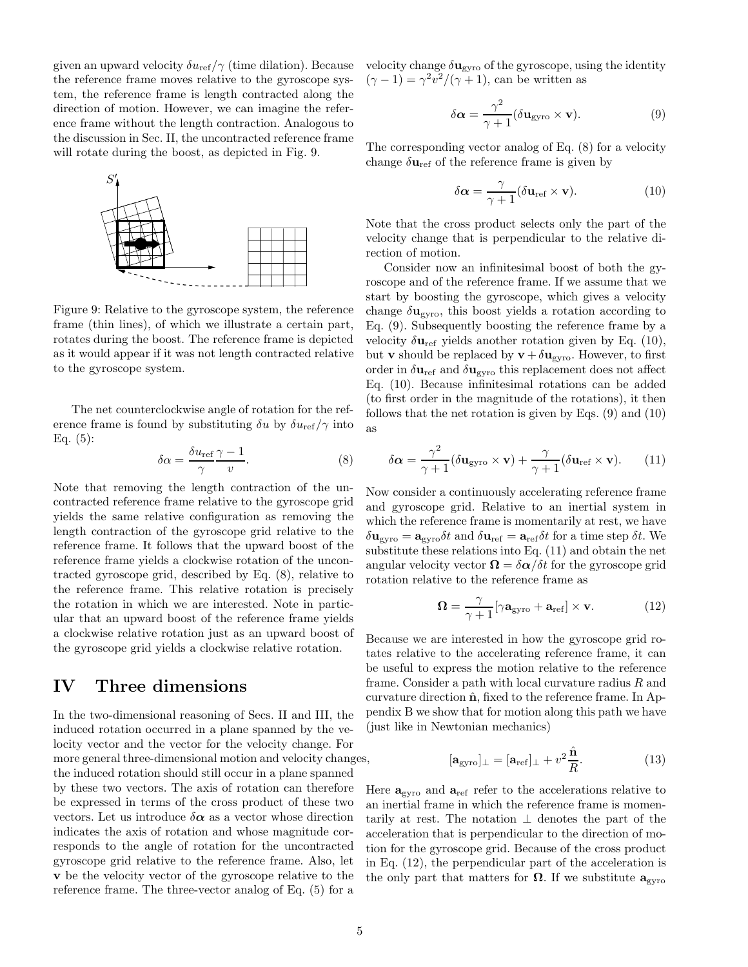given an upward velocity  $\delta u_{\text{ref}}/\gamma$  (time dilation). Because the reference frame moves relative to the gyroscope system, the reference frame is length contracted along the direction of motion. However, we can imagine the reference frame without the length contraction. Analogous to the discussion in Sec. II, the uncontracted reference frame will rotate during the boost, as depicted in Fig. 9.



Figure 9: Relative to the gyroscope system, the reference frame (thin lines), of which we illustrate a certain part, rotates during the boost. The reference frame is depicted as it would appear if it was not length contracted relative to the gyroscope system.

The net counterclockwise angle of rotation for the reference frame is found by substituting  $\delta u$  by  $\delta u_{\text{ref}}/\gamma$  into Eq.  $(5)$ :

$$
\delta \alpha = \frac{\delta u_{\text{ref}}}{\gamma} \frac{\gamma - 1}{v}.
$$
 (8)

Note that removing the length contraction of the uncontracted reference frame relative to the gyroscope grid yields the same relative configuration as removing the length contraction of the gyroscope grid relative to the reference frame. It follows that the upward boost of the reference frame yields a clockwise rotation of the uncontracted gyroscope grid, described by Eq. (8), relative to the reference frame. This relative rotation is precisely the rotation in which we are interested. Note in particular that an upward boost of the reference frame yields a clockwise relative rotation just as an upward boost of the gyroscope grid yields a clockwise relative rotation.

## IV Three dimensions

In the two-dimensional reasoning of Secs. II and III, the induced rotation occurred in a plane spanned by the velocity vector and the vector for the velocity change. For more general three-dimensional motion and velocity changes, the induced rotation should still occur in a plane spanned by these two vectors. The axis of rotation can therefore be expressed in terms of the cross product of these two vectors. Let us introduce  $\delta \alpha$  as a vector whose direction indicates the axis of rotation and whose magnitude corresponds to the angle of rotation for the uncontracted gyroscope grid relative to the reference frame. Also, let v be the velocity vector of the gyroscope relative to the reference frame. The three-vector analog of Eq. (5) for a

velocity change  $\delta {\bf u}_{\rm gyro}$  of the gyroscope, using the identity  $(\gamma - 1) = \gamma^2 v^2 / (\gamma + 1)$ , can be written as

$$
\delta \alpha = \frac{\gamma^2}{\gamma + 1} (\delta \mathbf{u}_{\text{gyro}} \times \mathbf{v}). \tag{9}
$$

The corresponding vector analog of Eq. (8) for a velocity change  $\delta \mathbf{u}_{ref}$  of the reference frame is given by

$$
\delta \alpha = \frac{\gamma}{\gamma + 1} (\delta \mathbf{u}_{\text{ref}} \times \mathbf{v}). \tag{10}
$$

Note that the cross product selects only the part of the velocity change that is perpendicular to the relative direction of motion.

Consider now an infinitesimal boost of both the gyroscope and of the reference frame. If we assume that we start by boosting the gyroscope, which gives a velocity change  $\delta u_{\text{evro}}$ , this boost yields a rotation according to Eq. (9). Subsequently boosting the reference frame by a velocity  $\delta \mathbf{u}_{ref}$  yields another rotation given by Eq. (10), but **v** should be replaced by  $\mathbf{v} + \delta \mathbf{u}_{\text{gyro}}$ . However, to first order in  $\delta \mathbf{u}_{ref}$  and  $\delta \mathbf{u}_{gyro}$  this replacement does not affect Eq. (10). Because infinitesimal rotations can be added (to first order in the magnitude of the rotations), it then follows that the net rotation is given by Eqs. (9) and (10) as

$$
\delta \alpha = \frac{\gamma^2}{\gamma + 1} (\delta \mathbf{u}_{\text{gyro}} \times \mathbf{v}) + \frac{\gamma}{\gamma + 1} (\delta \mathbf{u}_{\text{ref}} \times \mathbf{v}). \tag{11}
$$

Now consider a continuously accelerating reference frame and gyroscope grid. Relative to an inertial system in which the reference frame is momentarily at rest, we have  $\delta \mathbf{u}_{\rm gyro} = \mathbf{a}_{\rm gyro} \delta t$  and  $\delta \mathbf{u}_{\rm ref} = \mathbf{a}_{\rm ref} \delta t$  for a time step  $\delta t$ . We substitute these relations into Eq. (11) and obtain the net angular velocity vector  $\mathbf{\Omega} = \delta \alpha / \delta t$  for the gyroscope grid rotation relative to the reference frame as

$$
\Omega = \frac{\gamma}{\gamma + 1} [\gamma \mathbf{a}_{\text{gyro}} + \mathbf{a}_{\text{ref}}] \times \mathbf{v}.
$$
 (12)

Because we are interested in how the gyroscope grid rotates relative to the accelerating reference frame, it can be useful to express the motion relative to the reference frame. Consider a path with local curvature radius  $R$  and curvature direction  $\hat{\mathbf{n}}$ , fixed to the reference frame. In Appendix B we show that for motion along this path we have (just like in Newtonian mechanics)

$$
[\mathbf{a}_{\rm gyro}]_{\perp} = [\mathbf{a}_{\rm ref}]_{\perp} + v^2 \frac{\hat{\mathbf{n}}}{R}.
$$
 (13)

Here  $\mathbf{a}_{\text{gyro}}$  and  $\mathbf{a}_{\text{ref}}$  refer to the accelerations relative to an inertial frame in which the reference frame is momentarily at rest. The notation ⊥ denotes the part of the acceleration that is perpendicular to the direction of motion for the gyroscope grid. Because of the cross product in Eq. (12), the perpendicular part of the acceleration is the only part that matters for  $\Omega$ . If we substitute  $\mathbf{a}_{\text{gyro}}$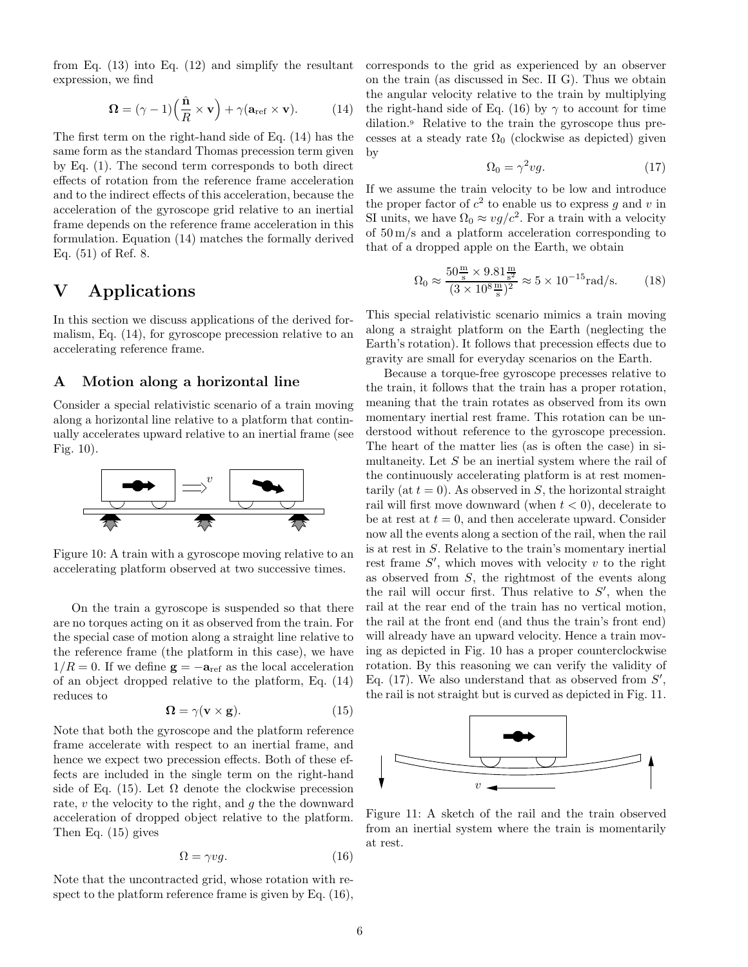from Eq.  $(13)$  into Eq.  $(12)$  and simplify the resultant expression, we find

$$
\mathbf{\Omega} = (\gamma - 1) \left( \frac{\hat{\mathbf{n}}}{R} \times \mathbf{v} \right) + \gamma (\mathbf{a}_{\text{ref}} \times \mathbf{v}). \tag{14}
$$

The first term on the right-hand side of Eq. (14) has the same form as the standard Thomas precession term given by Eq. (1). The second term corresponds to both direct effects of rotation from the reference frame acceleration and to the indirect effects of this acceleration, because the acceleration of the gyroscope grid relative to an inertial frame depends on the reference frame acceleration in this formulation. Equation (14) matches the formally derived Eq. (51) of Ref. 8.

# V Applications

In this section we discuss applications of the derived formalism, Eq. (14), for gyroscope precession relative to an accelerating reference frame.

#### A Motion along a horizontal line

Consider a special relativistic scenario of a train moving along a horizontal line relative to a platform that continually accelerates upward relative to an inertial frame (see Fig. 10).



Figure 10: A train with a gyroscope moving relative to an accelerating platform observed at two successive times.

On the train a gyroscope is suspended so that there are no torques acting on it as observed from the train. For the special case of motion along a straight line relative to the reference frame (the platform in this case), we have  $1/R = 0$ . If we define  $\mathbf{g} = -\mathbf{a}_{ref}$  as the local acceleration of an object dropped relative to the platform, Eq. (14) reduces to

$$
\mathbf{\Omega} = \gamma(\mathbf{v} \times \mathbf{g}).\tag{15}
$$

Note that both the gyroscope and the platform reference frame accelerate with respect to an inertial frame, and hence we expect two precession effects. Both of these effects are included in the single term on the right-hand side of Eq. (15). Let  $\Omega$  denote the clockwise precession rate,  $v$  the velocity to the right, and  $g$  the the downward acceleration of dropped object relative to the platform. Then Eq. (15) gives

$$
\Omega = \gamma v g. \tag{16}
$$

Note that the uncontracted grid, whose rotation with respect to the platform reference frame is given by Eq.  $(16)$ , corresponds to the grid as experienced by an observer on the train (as discussed in Sec. II G). Thus we obtain the angular velocity relative to the train by multiplying the right-hand side of Eq. (16) by  $\gamma$  to account for time dilation.<sup>9</sup> Relative to the train the gyroscope thus precesses at a steady rate  $\Omega_0$  (clockwise as depicted) given by

$$
\Omega_0 = \gamma^2 v g. \tag{17}
$$

If we assume the train velocity to be low and introduce the proper factor of  $c^2$  to enable us to express g and v in SI units, we have  $\Omega_0 \approx v g/c^2$ . For a train with a velocity of 50 m/s and a platform acceleration corresponding to that of a dropped apple on the Earth, we obtain

$$
\Omega_0 \approx \frac{50 \frac{\text{m}}{\text{s}} \times 9.81 \frac{\text{m}}{\text{s}^2}}{(3 \times 10^8 \frac{\text{m}}{\text{s}})^2} \approx 5 \times 10^{-15} \text{rad/s}.
$$
 (18)

This special relativistic scenario mimics a train moving along a straight platform on the Earth (neglecting the Earth's rotation). It follows that precession effects due to gravity are small for everyday scenarios on the Earth.

Because a torque-free gyroscope precesses relative to the train, it follows that the train has a proper rotation, meaning that the train rotates as observed from its own momentary inertial rest frame. This rotation can be understood without reference to the gyroscope precession. The heart of the matter lies (as is often the case) in simultaneity. Let  $S$  be an inertial system where the rail of the continuously accelerating platform is at rest momentarily (at  $t = 0$ ). As observed in S, the horizontal straight rail will first move downward (when  $t < 0$ ), decelerate to be at rest at  $t = 0$ , and then accelerate upward. Consider now all the events along a section of the rail, when the rail is at rest in S. Relative to the train's momentary inertial rest frame  $S'$ , which moves with velocity v to the right as observed from S, the rightmost of the events along the rail will occur first. Thus relative to  $S'$ , when the rail at the rear end of the train has no vertical motion, the rail at the front end (and thus the train's front end) will already have an upward velocity. Hence a train moving as depicted in Fig. 10 has a proper counterclockwise rotation. By this reasoning we can verify the validity of Eq. (17). We also understand that as observed from  $S'$ , the rail is not straight but is curved as depicted in Fig. 11.



Figure 11: A sketch of the rail and the train observed from an inertial system where the train is momentarily at rest.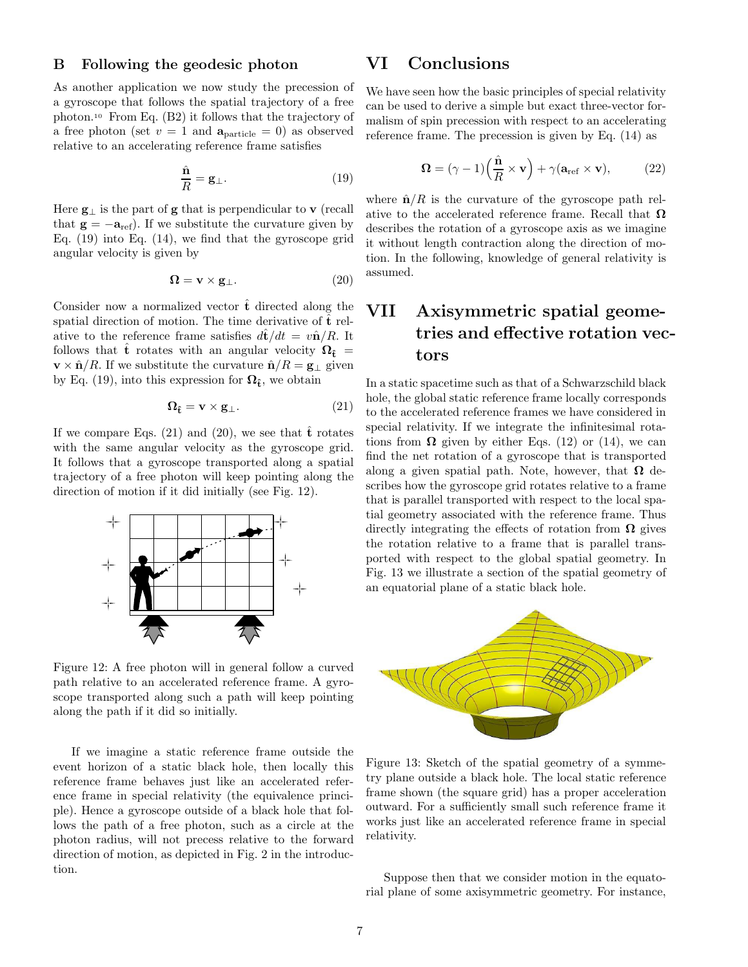#### B Following the geodesic photon

As another application we now study the precession of a gyroscope that follows the spatial trajectory of a free photon.<sup>10</sup> From Eq. (B2) it follows that the trajectory of a free photon (set  $v = 1$  and  $\mathbf{a}_{\text{particle}} = 0$ ) as observed relative to an accelerating reference frame satisfies

$$
\frac{\hat{\mathbf{n}}}{R} = \mathbf{g}_{\perp}.\tag{19}
$$

Here  $g_{\perp}$  is the part of g that is perpendicular to v (recall that  $\mathbf{g} = -\mathbf{a}_{ref}$ ). If we substitute the curvature given by Eq. (19) into Eq. (14), we find that the gyroscope grid angular velocity is given by

$$
\mathbf{\Omega} = \mathbf{v} \times \mathbf{g}_{\perp}.\tag{20}
$$

Consider now a normalized vector  $\hat{\mathbf{t}}$  directed along the spatial direction of motion. The time derivative of  $\hat{\mathbf{t}}$  relative to the reference frame satisfies  $d\hat{\mathbf{t}}/dt = v\hat{\mathbf{n}}/R$ . It follows that  $\hat{t}$  rotates with an angular velocity  $\Omega_{\hat{t}}$  =  $\mathbf{v} \times \hat{\mathbf{n}}/R$ . If we substitute the curvature  $\hat{\mathbf{n}}/R = \mathbf{g}_{\perp}$  given by Eq. (19), into this expression for  $\Omega_{\hat{t}}$ , we obtain

$$
\Omega_{\hat{\mathbf{t}}} = \mathbf{v} \times \mathbf{g}_{\perp}.\tag{21}
$$

If we compare Eqs. (21) and (20), we see that  $\hat{\mathbf{t}}$  rotates with the same angular velocity as the gyroscope grid. It follows that a gyroscope transported along a spatial trajectory of a free photon will keep pointing along the direction of motion if it did initially (see Fig. 12).



Figure 12: A free photon will in general follow a curved path relative to an accelerated reference frame. A gyroscope transported along such a path will keep pointing along the path if it did so initially.

If we imagine a static reference frame outside the event horizon of a static black hole, then locally this reference frame behaves just like an accelerated reference frame in special relativity (the equivalence principle). Hence a gyroscope outside of a black hole that follows the path of a free photon, such as a circle at the photon radius, will not precess relative to the forward direction of motion, as depicted in Fig. 2 in the introduction.

# VI Conclusions

We have seen how the basic principles of special relativity can be used to derive a simple but exact three-vector formalism of spin precession with respect to an accelerating reference frame. The precession is given by Eq. (14) as

$$
\mathbf{\Omega} = (\gamma - 1) \Big( \frac{\hat{\mathbf{n}}}{R} \times \mathbf{v} \Big) + \gamma (\mathbf{a}_{\text{ref}} \times \mathbf{v}), \tag{22}
$$

where  $\hat{\mathbf{n}}/R$  is the curvature of the gyroscope path relative to the accelerated reference frame. Recall that  $\Omega$ describes the rotation of a gyroscope axis as we imagine it without length contraction along the direction of motion. In the following, knowledge of general relativity is assumed.

# VII Axisymmetric spatial geometries and effective rotation vectors

In a static spacetime such as that of a Schwarzschild black hole, the global static reference frame locally corresponds to the accelerated reference frames we have considered in special relativity. If we integrate the infinitesimal rotations from  $\Omega$  given by either Eqs. (12) or (14), we can find the net rotation of a gyroscope that is transported along a given spatial path. Note, however, that  $\Omega$  describes how the gyroscope grid rotates relative to a frame that is parallel transported with respect to the local spatial geometry associated with the reference frame. Thus directly integrating the effects of rotation from  $\Omega$  gives the rotation relative to a frame that is parallel transported with respect to the global spatial geometry. In Fig. 13 we illustrate a section of the spatial geometry of an equatorial plane of a static black hole.



Figure 13: Sketch of the spatial geometry of a symmetry plane outside a black hole. The local static reference frame shown (the square grid) has a proper acceleration outward. For a sufficiently small such reference frame it works just like an accelerated reference frame in special relativity.

Suppose then that we consider motion in the equatorial plane of some axisymmetric geometry. For instance,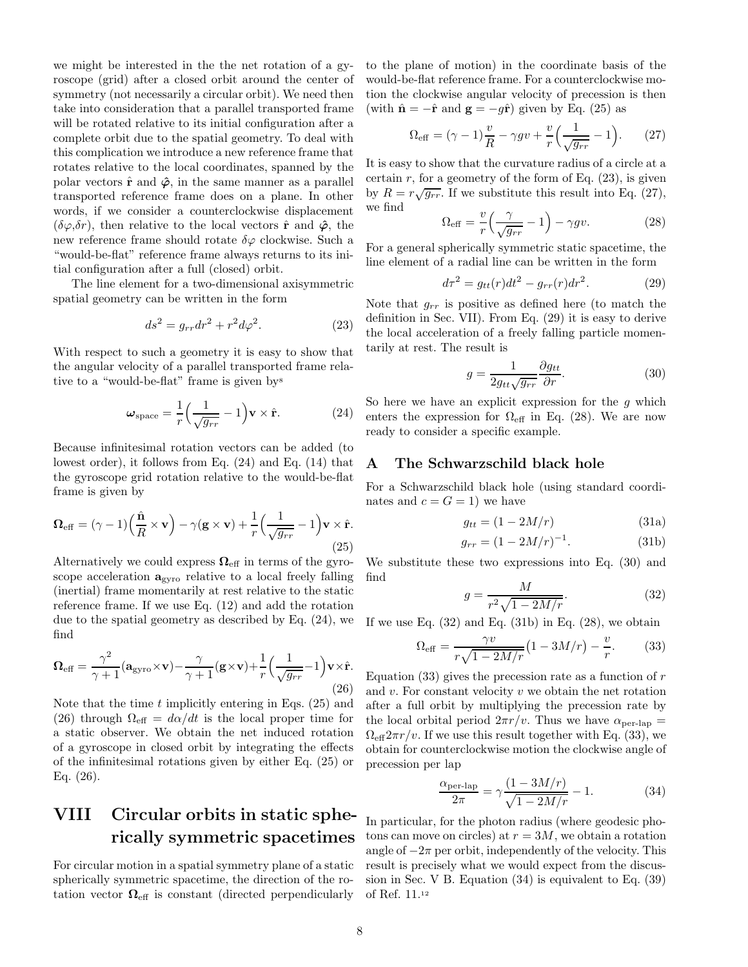we might be interested in the the net rotation of a gyroscope (grid) after a closed orbit around the center of symmetry (not necessarily a circular orbit). We need then take into consideration that a parallel transported frame will be rotated relative to its initial configuration after a complete orbit due to the spatial geometry. To deal with this complication we introduce a new reference frame that rotates relative to the local coordinates, spanned by the polar vectors  $\hat{\mathbf{r}}$  and  $\hat{\boldsymbol{\varphi}}$ , in the same manner as a parallel transported reference frame does on a plane. In other words, if we consider a counterclockwise displacement  $(\delta\varphi,\delta r)$ , then relative to the local vectors  $\hat{\mathbf{r}}$  and  $\hat{\varphi}$ , the new reference frame should rotate  $\delta\varphi$  clockwise. Such a "would-be-flat" reference frame always returns to its initial configuration after a full (closed) orbit.

The line element for a two-dimensional axisymmetric spatial geometry can be written in the form

$$
ds^2 = g_{rr}dr^2 + r^2d\varphi^2.
$$
 (23)

With respect to such a geometry it is easy to show that the angular velocity of a parallel transported frame relative to a "would-be-flat" frame is given by<sup>8</sup>

$$
\omega_{\text{space}} = \frac{1}{r} \left( \frac{1}{\sqrt{g_{rr}}} - 1 \right) \mathbf{v} \times \hat{\mathbf{r}}.
$$
 (24)

Because infinitesimal rotation vectors can be added (to lowest order), it follows from Eq. (24) and Eq. (14) that the gyroscope grid rotation relative to the would-be-flat frame is given by

$$
\Omega_{\text{eff}} = (\gamma - 1) \left( \frac{\hat{\mathbf{n}}}{R} \times \mathbf{v} \right) - \gamma (\mathbf{g} \times \mathbf{v}) + \frac{1}{r} \left( \frac{1}{\sqrt{g_{rr}}} - 1 \right) \mathbf{v} \times \hat{\mathbf{r}}.
$$
\n(25)

Alternatively we could express  $\Omega_{\text{eff}}$  in terms of the gyroscope acceleration  $\mathbf{a}_{\text{gyro}}$  relative to a local freely falling (inertial) frame momentarily at rest relative to the static reference frame. If we use Eq. (12) and add the rotation due to the spatial geometry as described by Eq. (24), we find

$$
\Omega_{\text{eff}} = \frac{\gamma^2}{\gamma + 1} (\mathbf{a}_{\text{gyro}} \times \mathbf{v}) - \frac{\gamma}{\gamma + 1} (\mathbf{g} \times \mathbf{v}) + \frac{1}{r} \left( \frac{1}{\sqrt{g_{rr}}} - 1 \right) \mathbf{v} \times \hat{\mathbf{r}}.
$$
\n(26)

Note that the time  $t$  implicitly entering in Eqs.  $(25)$  and (26) through  $\Omega_{\text{eff}} = d\alpha/dt$  is the local proper time for a static observer. We obtain the net induced rotation of a gyroscope in closed orbit by integrating the effects of the infinitesimal rotations given by either Eq. (25) or Eq. (26).

# VIII Circular orbits in static spherically symmetric spacetimes

For circular motion in a spatial symmetry plane of a static spherically symmetric spacetime, the direction of the rotation vector  $\Omega_{\text{eff}}$  is constant (directed perpendicularly to the plane of motion) in the coordinate basis of the would-be-flat reference frame. For a counterclockwise motion the clockwise angular velocity of precession is then (with  $\hat{\mathbf{n}} = -\hat{\mathbf{r}}$  and  $\mathbf{g} = -q\hat{\mathbf{r}}$ ) given by Eq. (25) as

$$
\Omega_{\text{eff}} = (\gamma - 1)\frac{v}{R} - \gamma gv + \frac{v}{r} \left(\frac{1}{\sqrt{g_{rr}}} - 1\right). \tag{27}
$$

It is easy to show that the curvature radius of a circle at a certain  $r$ , for a geometry of the form of Eq.  $(23)$ , is given by  $R = r\sqrt{g_{rr}}$ . If we substitute this result into Eq. (27), we find

$$
\Omega_{\text{eff}} = \frac{v}{r} \left( \frac{\gamma}{\sqrt{g_{rr}}} - 1 \right) - \gamma g v. \tag{28}
$$

For a general spherically symmetric static spacetime, the line element of a radial line can be written in the form

$$
d\tau^2 = g_{tt}(r)dt^2 - g_{rr}(r)dr^2.
$$
 (29)

Note that  $g_{rr}$  is positive as defined here (to match the definition in Sec. VII). From Eq. (29) it is easy to derive the local acceleration of a freely falling particle momentarily at rest. The result is

$$
g = \frac{1}{2g_{tt}\sqrt{g_{rr}}} \frac{\partial g_{tt}}{\partial r}.
$$
 (30)

So here we have an explicit expression for the g which enters the expression for  $\Omega_{\text{eff}}$  in Eq. (28). We are now ready to consider a specific example.

#### A The Schwarzschild black hole

For a Schwarzschild black hole (using standard coordinates and  $c = G = 1$ ) we have

$$
g_{tt} = (1 - 2M/r) \tag{31a}
$$

$$
g_{rr} = (1 - 2M/r)^{-1}.
$$
 (31b)

We substitute these two expressions into Eq. (30) and find

$$
g = \frac{M}{r^2 \sqrt{1 - 2M/r}}.\tag{32}
$$

If we use Eq.  $(32)$  and Eq.  $(31b)$  in Eq.  $(28)$ , we obtain

$$
\Omega_{\text{eff}} = \frac{\gamma v}{r\sqrt{1 - 2M/r}} \left(1 - 3M/r\right) - \frac{v}{r}.\tag{33}
$$

Equation (33) gives the precession rate as a function of  $r$ and  $v$ . For constant velocity  $v$  we obtain the net rotation after a full orbit by multiplying the precession rate by the local orbital period  $2\pi r/v$ . Thus we have  $\alpha_{per-lap}$  $\Omega_{\text{eff}}2\pi r/v$ . If we use this result together with Eq. (33), we obtain for counterclockwise motion the clockwise angle of precession per lap

$$
\frac{\alpha_{\text{per-lap}}}{2\pi} = \gamma \frac{(1 - 3M/r)}{\sqrt{1 - 2M/r}} - 1.
$$
 (34)

In particular, for the photon radius (where geodesic photons can move on circles) at  $r = 3M$ , we obtain a rotation angle of  $-2\pi$  per orbit, independently of the velocity. This result is precisely what we would expect from the discussion in Sec. V B. Equation (34) is equivalent to Eq. (39) of Ref. 11.<sup>12</sup>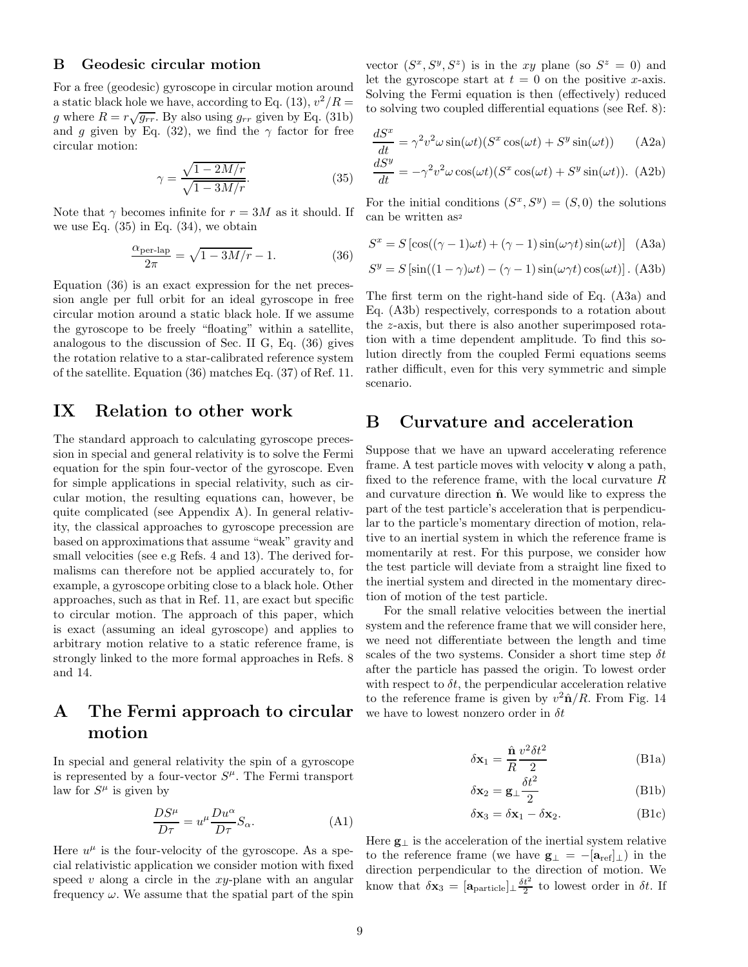#### B Geodesic circular motion

For a free (geodesic) gyroscope in circular motion around a static black hole we have, according to Eq. (13),  $v^2/R =$ g where  $R = r\sqrt{g_{rr}}$ . By also using  $g_{rr}$  given by Eq. (31b) and g given by Eq. (32), we find the  $\gamma$  factor for free circular motion:

$$
\gamma = \frac{\sqrt{1 - 2M/r}}{\sqrt{1 - 3M/r}}.\tag{35}
$$

Note that  $\gamma$  becomes infinite for  $r = 3M$  as it should. If we use Eq.  $(35)$  in Eq.  $(34)$ , we obtain

$$
\frac{\alpha_{\text{per-lap}}}{2\pi} = \sqrt{1 - 3M/r} - 1.
$$
 (36)

Equation (36) is an exact expression for the net precession angle per full orbit for an ideal gyroscope in free circular motion around a static black hole. If we assume the gyroscope to be freely "floating" within a satellite, analogous to the discussion of Sec. II G, Eq. (36) gives the rotation relative to a star-calibrated reference system of the satellite. Equation (36) matches Eq. (37) of Ref. 11.

# IX Relation to other work

The standard approach to calculating gyroscope precession in special and general relativity is to solve the Fermi equation for the spin four-vector of the gyroscope. Even for simple applications in special relativity, such as circular motion, the resulting equations can, however, be quite complicated (see Appendix A). In general relativity, the classical approaches to gyroscope precession are based on approximations that assume "weak" gravity and small velocities (see e.g Refs. 4 and 13). The derived formalisms can therefore not be applied accurately to, for example, a gyroscope orbiting close to a black hole. Other approaches, such as that in Ref. 11, are exact but specific to circular motion. The approach of this paper, which is exact (assuming an ideal gyroscope) and applies to arbitrary motion relative to a static reference frame, is strongly linked to the more formal approaches in Refs. 8 and 14.

# A The Fermi approach to circular motion

In special and general relativity the spin of a gyroscope is represented by a four-vector  $S^{\mu}$ . The Fermi transport law for  $S^{\mu}$  is given by

$$
\frac{DS^{\mu}}{D\tau} = u^{\mu} \frac{Du^{\alpha}}{D\tau} S_{\alpha}.
$$
 (A1)

Here  $u^{\mu}$  is the four-velocity of the gyroscope. As a special relativistic application we consider motion with fixed speed  $v$  along a circle in the  $xy$ -plane with an angular frequency  $\omega$ . We assume that the spatial part of the spin vector  $(S^x, S^y, S^z)$  is in the xy plane (so  $S^z = 0$ ) and let the gyroscope start at  $t = 0$  on the positive x-axis. Solving the Fermi equation is then (effectively) reduced to solving two coupled differential equations (see Ref. 8):

$$
\frac{dS^x}{dt} = \gamma^2 v^2 \omega \sin(\omega t) (S^x \cos(\omega t) + S^y \sin(\omega t)) \qquad \text{(A2a)}
$$

$$
\frac{dS^{y}}{dt} = -\gamma^{2}v^{2}\omega\cos(\omega t)(S^{x}\cos(\omega t) + S^{y}\sin(\omega t)).
$$
 (A2b)

For the initial conditions  $(S^x, S^y) = (S, 0)$  the solutions can be written as<sup>2</sup>

$$
S^{x} = S [\cos((\gamma - 1)\omega t) + (\gamma - 1)\sin(\omega \gamma t)\sin(\omega t)] \quad \text{(A3a)}
$$

$$
S^{y} = S \left[ \sin((1 - \gamma)\omega t) - (\gamma - 1) \sin(\omega \gamma t) \cos(\omega t) \right]. (A3b)
$$

The first term on the right-hand side of Eq. (A3a) and Eq. (A3b) respectively, corresponds to a rotation about the z-axis, but there is also another superimposed rotation with a time dependent amplitude. To find this solution directly from the coupled Fermi equations seems rather difficult, even for this very symmetric and simple scenario.

## B Curvature and acceleration

Suppose that we have an upward accelerating reference frame. A test particle moves with velocity v along a path, fixed to the reference frame, with the local curvature R and curvature direction  $\hat{\mathbf{n}}$ . We would like to express the part of the test particle's acceleration that is perpendicular to the particle's momentary direction of motion, relative to an inertial system in which the reference frame is momentarily at rest. For this purpose, we consider how the test particle will deviate from a straight line fixed to the inertial system and directed in the momentary direction of motion of the test particle.

For the small relative velocities between the inertial system and the reference frame that we will consider here, we need not differentiate between the length and time scales of the two systems. Consider a short time step  $\delta t$ after the particle has passed the origin. To lowest order with respect to  $\delta t$ , the perpendicular acceleration relative to the reference frame is given by  $v^2 \hat{\mathbf{n}}/R$ . From Fig. 14 we have to lowest nonzero order in  $\delta t$ 

$$
\delta \mathbf{x}_1 = \frac{\hat{\mathbf{n}}}{R} \frac{v^2 \delta t^2}{2}
$$
 (B1a)

$$
\delta \mathbf{x}_2 = \mathbf{g}_\perp \frac{\delta t^2}{2} \tag{B1b}
$$

$$
\delta \mathbf{x}_3 = \delta \mathbf{x}_1 - \delta \mathbf{x}_2. \tag{B1c}
$$

Here  $g_{\perp}$  is the acceleration of the inertial system relative to the reference frame (we have  $\mathbf{g}_{\perp} = -[\mathbf{a}_{ref}]_{\perp}$ ) in the direction perpendicular to the direction of motion. We know that  $\delta \mathbf{x}_3 = [\mathbf{a}_{\text{particle}}] \pm \frac{\delta t^2}{2}$  to lowest order in  $\delta t$ . If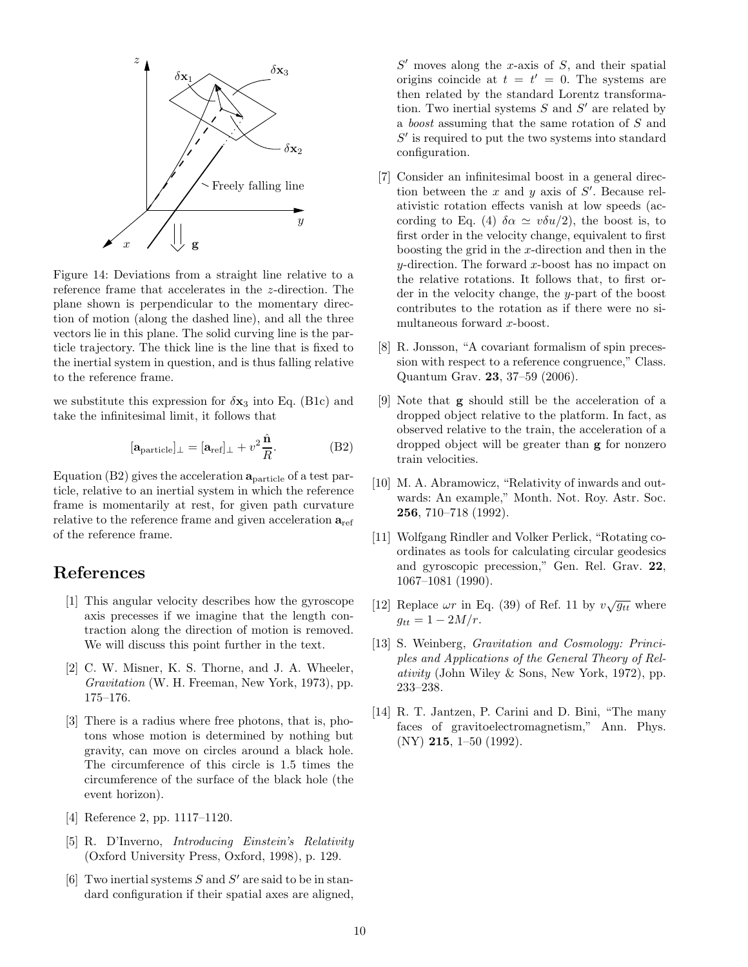

Figure 14: Deviations from a straight line relative to a reference frame that accelerates in the z-direction. The plane shown is perpendicular to the momentary direction of motion (along the dashed line), and all the three vectors lie in this plane. The solid curving line is the particle trajectory. The thick line is the line that is fixed to the inertial system in question, and is thus falling relative to the reference frame.

we substitute this expression for  $\delta x_3$  into Eq. (B1c) and take the infinitesimal limit, it follows that

$$
[\mathbf{a}_{\text{particle}}]_{\perp} = [\mathbf{a}_{\text{ref}}]_{\perp} + v^2 \frac{\hat{\mathbf{n}}}{R}.
$$
 (B2)

Equation (B2) gives the acceleration  $\mathbf{a}_{\text{particle}}$  of a test particle, relative to an inertial system in which the reference frame is momentarily at rest, for given path curvature relative to the reference frame and given acceleration  $a_{ref}$ of the reference frame.

# References

- [1] This angular velocity describes how the gyroscope axis precesses if we imagine that the length contraction along the direction of motion is removed. We will discuss this point further in the text.
- [2] C. W. Misner, K. S. Thorne, and J. A. Wheeler, Gravitation (W. H. Freeman, New York, 1973), pp. 175–176.
- [3] There is a radius where free photons, that is, photons whose motion is determined by nothing but gravity, can move on circles around a black hole. The circumference of this circle is 1.5 times the circumference of the surface of the black hole (the event horizon).
- [4] Reference 2, pp. 1117–1120.
- [5] R. D'Inverno, Introducing Einstein's Relativity (Oxford University Press, Oxford, 1998), p. 129.
- [6] Two inertial systems  $S$  and  $S'$  are said to be in standard configuration if their spatial axes are aligned,

 $S'$  moves along the x-axis of S, and their spatial origins coincide at  $t = t' = 0$ . The systems are then related by the standard Lorentz transformation. Two inertial systems  $S$  and  $S'$  are related by a boost assuming that the same rotation of S and  $S'$  is required to put the two systems into standard configuration.

- [7] Consider an infinitesimal boost in a general direction between the x and y axis of  $S'$ . Because relativistic rotation effects vanish at low speeds (according to Eq. (4)  $\delta \alpha \simeq v \delta u/2$ , the boost is, to first order in the velocity change, equivalent to first boosting the grid in the x-direction and then in the y-direction. The forward x-boost has no impact on the relative rotations. It follows that, to first order in the velocity change, the y-part of the boost contributes to the rotation as if there were no simultaneous forward x-boost.
- [8] R. Jonsson, "A covariant formalism of spin precession with respect to a reference congruence," Class. Quantum Grav. 23, 37–59 (2006).
- [9] Note that g should still be the acceleration of a dropped object relative to the platform. In fact, as observed relative to the train, the acceleration of a dropped object will be greater than g for nonzero train velocities.
- [10] M. A. Abramowicz, "Relativity of inwards and outwards: An example," Month. Not. Roy. Astr. Soc. 256, 710–718 (1992).
- [11] Wolfgang Rindler and Volker Perlick, "Rotating coordinates as tools for calculating circular geodesics and gyroscopic precession," Gen. Rel. Grav. 22, 1067–1081 (1990).
- [12] Replace  $\omega r$  in Eq. (39) of Ref. 11 by  $v\sqrt{g_{tt}}$  where  $g_{tt} = 1 - 2M/r.$
- [13] S. Weinberg, Gravitation and Cosmology: Principles and Applications of the General Theory of Relativity (John Wiley & Sons, New York, 1972), pp. 233–238.
- [14] R. T. Jantzen, P. Carini and D. Bini, "The many faces of gravitoelectromagnetism," Ann. Phys. (NY) 215, 1–50 (1992).